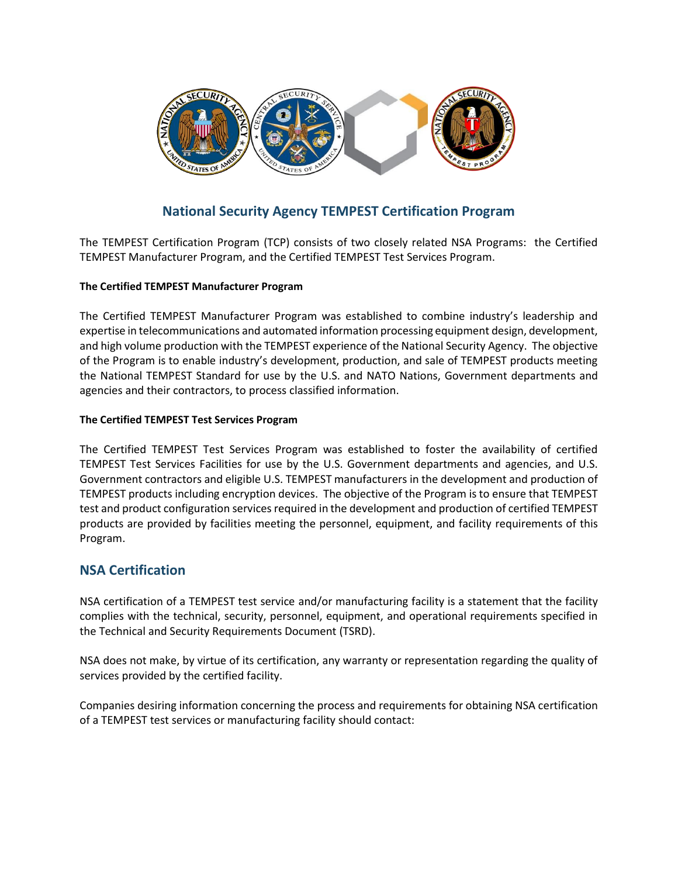

# **National Security Agency TEMPEST Certification Program**

The TEMPEST Certification Program (TCP) consists of two closely related NSA Programs: the Certified TEMPEST Manufacturer Program, and the Certified TEMPEST Test Services Program.

#### **The Certified TEMPEST Manufacturer Program**

The Certified TEMPEST Manufacturer Program was established to combine industry's leadership and expertise in telecommunications and automated information processing equipment design, development, and high volume production with the TEMPEST experience of the National Security Agency. The objective of the Program is to enable industry's development, production, and sale of TEMPEST products meeting the National TEMPEST Standard for use by the U.S. and NATO Nations, Government departments and agencies and their contractors, to process classified information.

#### **The Certified TEMPEST Test Services Program**

The Certified TEMPEST Test Services Program was established to foster the availability of certified TEMPEST Test Services Facilities for use by the U.S. Government departments and agencies, and U.S. Government contractors and eligible U.S. TEMPEST manufacturers in the development and production of TEMPEST products including encryption devices. The objective of the Program is to ensure that TEMPEST test and product configuration services required in the development and production of certified TEMPEST products are provided by facilities meeting the personnel, equipment, and facility requirements of this Program.

### **NSA Certification**

NSA certification of a TEMPEST test service and/or manufacturing facility is a statement that the facility complies with the technical, security, personnel, equipment, and operational requirements specified in the Technical and Security Requirements Document (TSRD).

NSA does not make, by virtue of its certification, any warranty or representation regarding the quality of services provided by the certified facility.

Companies desiring information concerning the process and requirements for obtaining NSA certification of a TEMPEST test services or manufacturing facility should contact: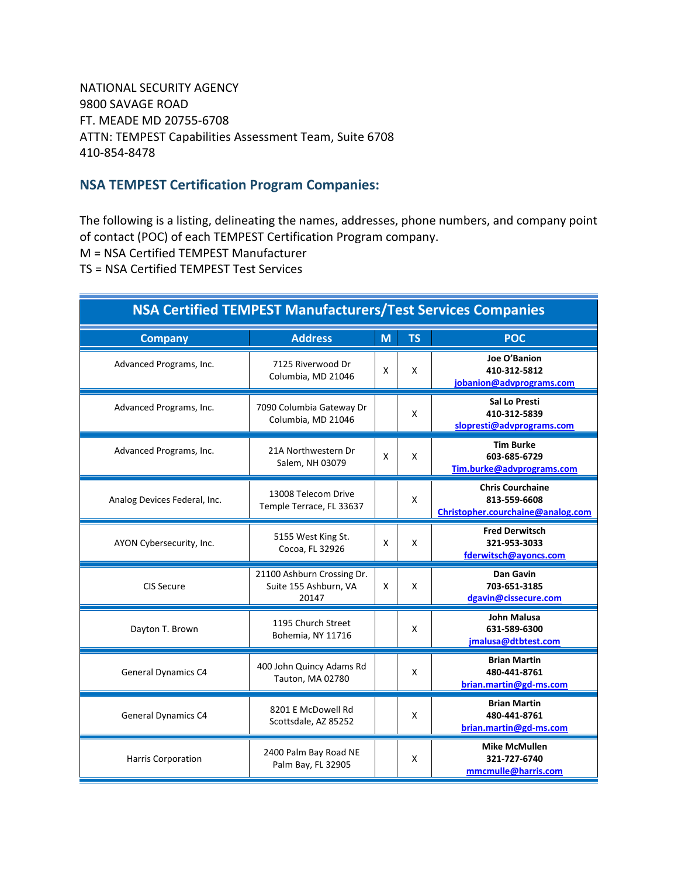NATIONAL SECURITY AGENCY 9800 SAVAGE ROAD FT. MEADE MD 20755-6708 ATTN: TEMPEST Capabilities Assessment Team, Suite 6708 410-854-8478

## **NSA TEMPEST Certification Program Companies:**

The following is a listing, delineating the names, addresses, phone numbers, and company point of contact (POC) of each TEMPEST Certification Program company.

M = NSA Certified TEMPEST Manufacturer

TS = NSA Certified TEMPEST Test Services

| <b>NSA Certified TEMPEST Manufacturers/Test Services Companies</b> |                                                              |   |           |                                                                              |  |  |
|--------------------------------------------------------------------|--------------------------------------------------------------|---|-----------|------------------------------------------------------------------------------|--|--|
| <b>Company</b>                                                     | <b>Address</b>                                               | M | <b>TS</b> | <b>POC</b>                                                                   |  |  |
| Advanced Programs, Inc.                                            | 7125 Riverwood Dr<br>Columbia, MD 21046                      | X | X         | Joe O'Banion<br>410-312-5812<br>jobanion@advprograms.com                     |  |  |
| Advanced Programs, Inc.                                            | 7090 Columbia Gateway Dr<br>Columbia, MD 21046               |   | X         | <b>Sal Lo Presti</b><br>410-312-5839<br>slopresti@advprograms.com            |  |  |
| Advanced Programs, Inc.                                            | 21A Northwestern Dr<br>Salem, NH 03079                       | X | X         | <b>Tim Burke</b><br>603-685-6729<br>Tim.burke@advprograms.com                |  |  |
| Analog Devices Federal, Inc.                                       | 13008 Telecom Drive<br>Temple Terrace, FL 33637              |   | X         | <b>Chris Courchaine</b><br>813-559-6608<br>Christopher.courchaine@analog.com |  |  |
| AYON Cybersecurity, Inc.                                           | 5155 West King St.<br>Cocoa, FL 32926                        | X | X         | <b>Fred Derwitsch</b><br>321-953-3033<br>fderwitsch@ayoncs.com               |  |  |
| CIS Secure                                                         | 21100 Ashburn Crossing Dr.<br>Suite 155 Ashburn, VA<br>20147 | X | X         | <b>Dan Gavin</b><br>703-651-3185<br>dgavin@cissecure.com                     |  |  |
| Dayton T. Brown                                                    | 1195 Church Street<br>Bohemia, NY 11716                      |   | X         | <b>John Malusa</b><br>631-589-6300<br>jmalusa@dtbtest.com                    |  |  |
| <b>General Dynamics C4</b>                                         | 400 John Quincy Adams Rd<br>Tauton, MA 02780                 |   | X         | <b>Brian Martin</b><br>480-441-8761<br>brian.martin@gd-ms.com                |  |  |
| <b>General Dynamics C4</b>                                         | 8201 E McDowell Rd<br>Scottsdale, AZ 85252                   |   | X         | <b>Brian Martin</b><br>480-441-8761<br>brian.martin@gd-ms.com                |  |  |
| Harris Corporation                                                 | 2400 Palm Bay Road NE<br>Palm Bay, FL 32905                  |   | X         | <b>Mike McMullen</b><br>321-727-6740<br>mmcmulle@harris.com                  |  |  |